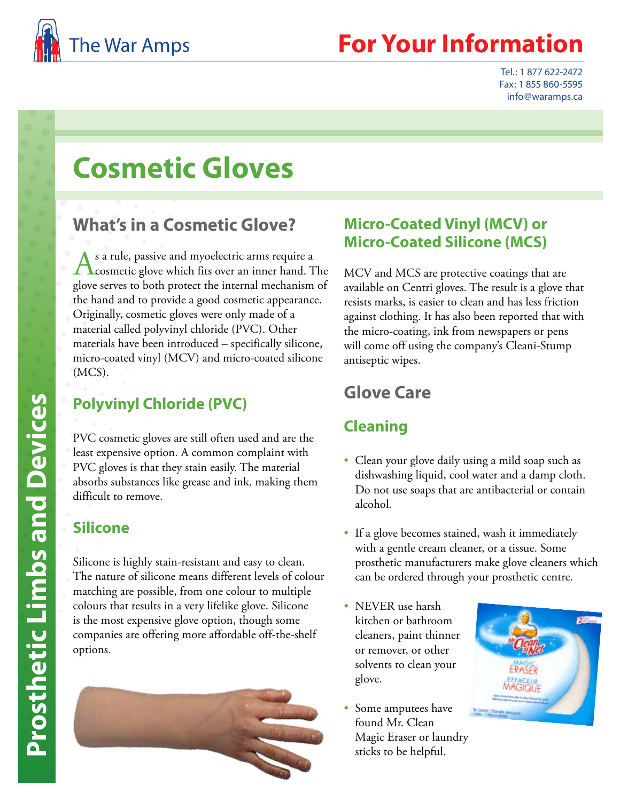

## **Your Information**

Tel.: 1 877 622-2472 Fax: 1 855 860-5595 info@waramps.ca

# **Cosmetic Gloves**

## **What's in a Cosmetic Glove?**

s a rule, passive and myoelectric arms require a  $\Gamma$  cosmetic glove which fits over an inner hand. The glove serves to both protect the internal mechanism of the hand and to provide a good cosmetic appearance. Originally, cosmetic gloves were only made of a material called polyvinyl chloride (PVC). Other materials have been introduced – specifically silicone, micro-coated vinyl (MCV) and micro-coated silicone (MCS).

## **Polyvinyl Chloride (PVC)**

PVC cosmetic gloves are still often used and are the least expensive option. A common complaint with PVC gloves is that they stain easily. The material absorbs substances like grease and ink, making them difficult to remove.

#### **Silicone**

Silicone is highly stain-resistant and easy to clean. The nature of silicone means different levels of colour matching are possible, from one colour to multiple colours that results in a very lifelike glove. Silicone is the most expensive glove option, though some companies are offering more affordable off-the-shelf options.



#### **Micro-Coated Vinyl (MCV) or Micro-Coated Silicone (MCS)**

MCV and MCS are protective coatings that are available on Centri gloves. The result is a glove that resists marks, is easier to clean and has less friction against clothing. It has also been reported that with the micro-coating, ink from newspapers or pens will come off using the company's Cleani-Stump antiseptic wipes.

## **Glove Care**

#### **Cleaning**

- Clean your glove daily using a mild soap such as dishwashing liquid, cool water and a damp cloth. Do not use soaps that are antibacterial or contain alcohol.
- If a glove becomes stained, wash it immediately with a gentle cream cleaner, or a tissue. Some prosthetic manufacturers make glove cleaners which can be ordered through your prosthetic centre.
- NEVER use harsh kitchen or bathroom cleaners, paint thinner or remover, or other solvents to clean your glove.
- Some amputees have found Mr. Clean Magic Eraser or laundry sticks to be helpful.